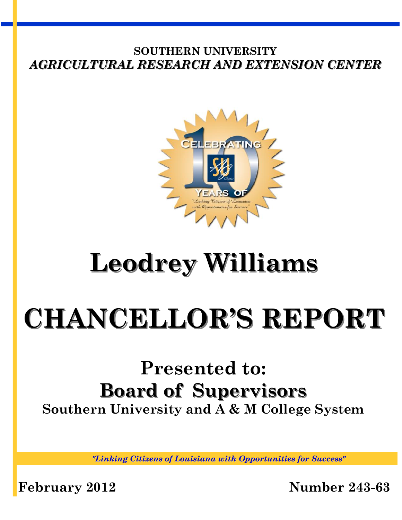

## **Leodrey Williams**

# **CHANCELLOR'S REPORT**

## **Presented to: Board of Supervisors Southern University and A & M College System**

*"Linking Citizens of Louisiana with Opportunities for Success"*

**February 2012 Number 243-63**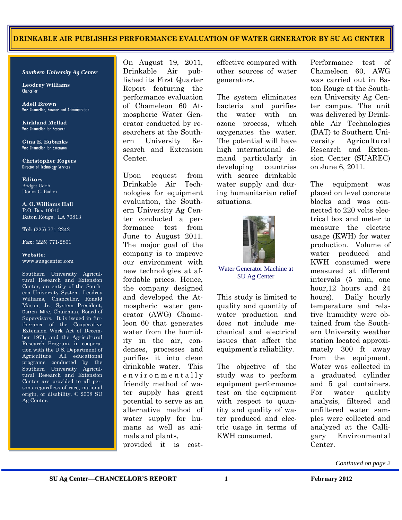#### **SOUTHERN UNIVERSITY AGRICULTURAL RESEARCH AND EXTENSION CENTER DRINKABLE AIR PUBLISHES PERFORMANCE EVALUATION OF WATER GENERATOR BY SU AG CENTER**

*Southern University Ag Center* 

**Leodrey Williams**  Chancellor

**Adell Brown** Vice Chancellor, Finance and Administration

**Kirkland Mellad**  Vice Chancellor for Research

**Gina E. Eubanks**  Vice Chancellor for Extension

**Christopher Rogers** Director of Technology Services

**Editors**  Bridget Udoh Donna C. Badon

**A. O. Williams Hall**  P.O. Box 10010 Baton Rouge, LA 70813

**Tel**: (225) 771-2242

**Fax**: (225) 771-2861

#### **Website**: www.suagcenter.com

Southern University Agricultural Research and Extension Center, an entity of the Southern University System, Leodrey Williams, Chancellor, Ronald Mason, Jr., System President, Darren Mire, Chairman, Board of Supervisors. It is issued in furtherance of the Cooperative Extension Work Act of December 1971, and the Agricultural Research Program, in cooperation with the U.S. Department of Agriculture. All educational programs conducted by the Southern University Agricultural Research and Extension Center are provided to all persons regardless of race, national origin, or disability. © 2008 SU Ag Center.

On August 19, 2011, Drinkable Air published its First Quarter Report featuring the performance evaluation of Chameleon 60 Atmospheric Water Generator conducted by researchers at the Southern University Research and Extension Center.

Upon request from Drinkable Air Technologies for equipment evaluation, the Southern University Ag Center conducted a performance test from June to August 2011. The major goal of the company is to improve our environment with new technologies at affordable prices. Hence, the company designed and developed the Atmospheric water generator (AWG) Chameleon 60 that generates water from the humidity in the air, condenses, processes and purifies it into clean drinkable water. This environmentally friendly method of water supply has great potential to serve as an alternative method of water supply for humans as well as animals and plants, provided it is costeffective compared with other sources of water generators.

The system eliminates bacteria and purifies the water with an ozone process, which oxygenates the water. The potential will have high international demand particularly in developing countries with scarce drinkable water supply and during humanitarian relief situations.



Water Generator Machine at SU Ag Center

This study is limited to quality and quantity of water production and does not include mechanical and electrical issues that affect the equipment's reliability.

The objective of the study was to perform equipment performance test on the equipment with respect to quantity and quality of water produced and electric usage in terms of KWH consumed.

Performance test of Chameleon 60, AWG was carried out in Baton Rouge at the Southern University Ag Center campus. The unit was delivered by Drinkable Air Technologies (DAT) to Southern University Agricultural Research and Extension Center (SUAREC) on June 6, 2011.

The equipment was placed on level concrete blocks and was connected to 220 volts electrical box and meter to measure the electric usage (KWH) for water production. Volume of water produced and KWH consumed were measured at different intervals (5 min, one hour,12 hours and 24 hours). Daily hourly temperature and relative humidity were obtained from the Southern University weather station located approximately 300 ft away from the equipment. Water was collected in a graduated cylinder and 5 gal containers. For water quality analysis, filtered and unfiltered water samples were collected and analyzed at the Calligary Environmental Center.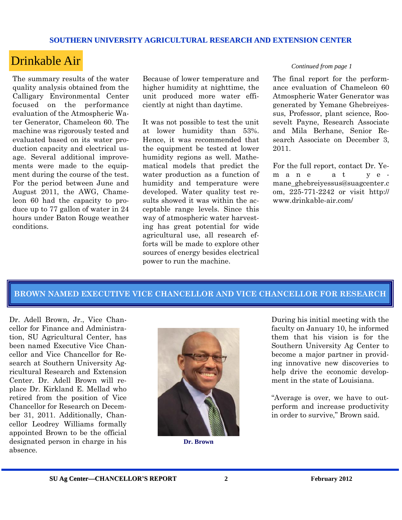## Drinkable Air *Continued from page 1*

The summary results of the water quality analysis obtained from the Calligary Environmental Center focused on the performance evaluation of the Atmospheric Water Generator, Chameleon 60. The machine was rigorously tested and evaluated based on its water production capacity and electrical usage. Several additional improvements were made to the equipment during the course of the test. For the period between June and August 2011, the AWG, Chameleon 60 had the capacity to produce up to 77 gallon of water in 24 hours under Baton Rouge weather conditions.

Because of lower temperature and higher humidity at nighttime, the unit produced more water efficiently at night than daytime.

It was not possible to test the unit at lower humidity than 53%. Hence, it was recommended that the equipment be tested at lower humidity regions as well. Mathematical models that predict the water production as a function of humidity and temperature were developed. Water quality test results showed it was within the acceptable range levels. Since this way of atmospheric water harvesting has great potential for wide agricultural use, all research efforts will be made to explore other sources of energy besides electrical power to run the machine.

The final report for the performance evaluation of Chameleon 60 Atmospheric Water Generator was generated by Yemane Ghebreiyessus, Professor, plant science, Roosevelt Payne, Research Associate and Mila Berhane, Senior Research Associate on December 3, 2011.

For the full report, contact Dr. Yem a n e a t y e mane\_ghebreiyessus@suagcenter.c om, 225-771-2242 or visit http:// www.drinkable-air.com/

#### **BROWN NAMED EXECUTIVE VICE CHANCELLOR AND VICE CHANCELLOR FOR RESEARCH**

Dr. Adell Brown, Jr., Vice Chancellor for Finance and Administration, SU Agricultural Center, has been named Executive Vice Chancellor and Vice Chancellor for Research at Southern University Agricultural Research and Extension Center. Dr. Adell Brown will replace Dr. Kirkland E. Mellad who retired from the position of Vice Chancellor for Research on December 31, 2011. Additionally, Chancellor Leodrey Williams formally appointed Brown to be the official designated person in charge in his absence.



**Dr. Brown** 

During his initial meeting with the faculty on January 10, he informed them that his vision is for the Southern University Ag Center to become a major partner in providing innovative new discoveries to help drive the economic development in the state of Louisiana.

"Average is over, we have to outperform and increase productivity in order to survive," Brown said.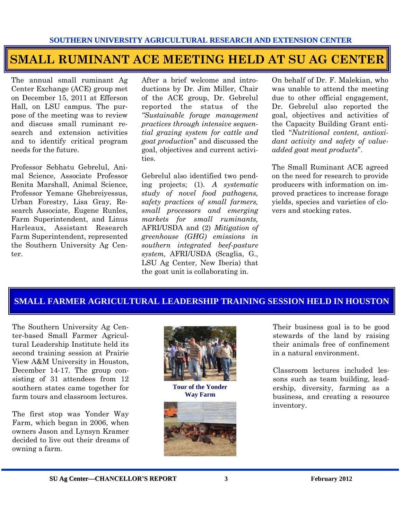## **SMALL RUMINANT ACE MEETING HELD AT SU AG CENTER**

The annual small ruminant Ag Center Exchange (ACE) group met on December 15, 2011 at Efferson Hall, on LSU campus. The purpose of the meeting was to review and discuss small ruminant research and extension activities and to identify critical program needs for the future.

Professor Sebhatu Gebrelul, Animal Science, Associate Professor Renita Marshall, Animal Science, Professor Yemane Ghebreiyessus, Urban Forestry, Lisa Gray, Research Associate, Eugene Runles, Farm Superintendent, and Linus Harleaux, Assistant Research Farm Superintendent, represented the Southern University Ag Center.

After a brief welcome and introductions by Dr. Jim Miller, Chair of the ACE group, Dr. Gebrelul reported the status of the *"Sustainable forage management practices through intensive sequential grazing system for cattle and goat production*" and discussed the goal, objectives and current activities.

Gebrelul also identified two pending projects; (1). *A systematic study of novel food pathogens, safety practices of small farmers, small processors and emerging markets for small ruminants,* AFRI/USDA and (2) *Mitigation of greenhouse (GHG) emissions in southern integrated beef-pasture system,* AFRI/USDA (Scaglia, G., LSU Ag Center, New Iberia) that the goat unit is collaborating in.

On behalf of Dr. F. Malekian, who was unable to attend the meeting due to other official engagement, Dr. Gebrelul also reported the goal, objectives and activities of the Capacity Building Grant entitled "*Nutritional content, antioxidant activity and safety of valueadded goat meat products*".

The Small Ruminant ACE agreed on the need for research to provide producers with information on improved practices to increase forage yields, species and varieties of clovers and stocking rates.

### **SMALL FARMER AGRICULTURAL LEADERSHIP TRAINING SESSION HELD IN HOUSTON**

The Southern University Ag Center-based Small Farmer Agricultural Leadership Institute held its second training session at Prairie View A&M University in Houston, December 14-17. The group consisting of 31 attendees from 12 southern states came together for farm tours and classroom lectures.

The first stop was Yonder Way Farm, which began in 2006, when owners Jason and Lynsyn Kramer decided to live out their dreams of owning a farm.



**Tour of the Yonder Way Farm** 



Their business goal is to be good stewards of the land by raising their animals free of confinement in a natural environment.

Classroom lectures included lessons such as team building, leadership, diversity, farming as a business, and creating a resource inventory.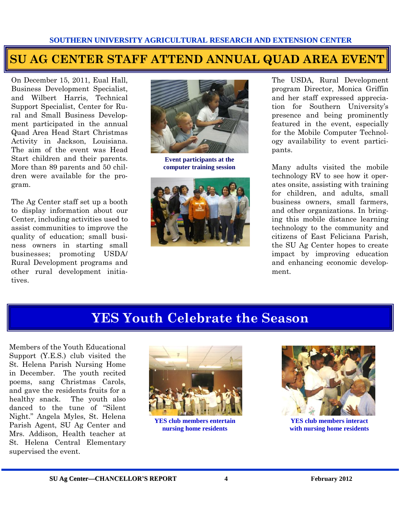## **SU AG CENTER STAFF ATTEND ANNUAL QUAD AREA EVENT**

On December 15, 2011, Eual Hall, Business Development Specialist, and Wilbert Harris, Technical Support Specialist, Center for Rural and Small Business Development participated in the annual Quad Area Head Start Christmas Activity in Jackson, Louisiana. The aim of the event was Head Start children and their parents. More than 89 parents and 50 children were available for the program.

The Ag Center staff set up a booth to display information about our Center, including activities used to assist communities to improve the quality of education; small business owners in starting small businesses; promoting USDA/ Rural Development programs and other rural development initiatives.



**Event participants at the computer training session** 



The USDA, Rural Development program Director, Monica Griffin and her staff expressed appreciation for Southern University's presence and being prominently featured in the event, especially for the Mobile Computer Technology availability to event participants.

Many adults visited the mobile technology RV to see how it operates onsite, assisting with training for children, and adults, small business owners, small farmers, and other organizations. In bringing this mobile distance learning technology to the community and citizens of East Feliciana Parish, the SU Ag Center hopes to create impact by improving education and enhancing economic development.

## **YES Youth Celebrate the Season**

Members of the Youth Educational Support (Y.E.S.) club visited the St. Helena Parish Nursing Home in December. The youth recited poems, sang Christmas Carols, and gave the residents fruits for a healthy snack. The youth also danced to the tune of "Silent Night." Angela Myles, St. Helena Parish Agent, SU Ag Center and Mrs. Addison, Health teacher at St. Helena Central Elementary supervised the event.



**YES club members entertain nursing home residents** 



**YES club members interact with nursing home residents**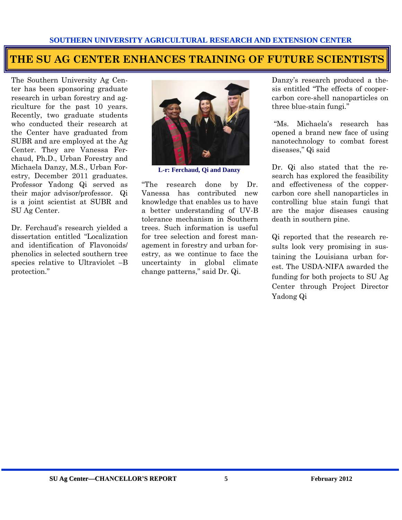## **THE SU AG CENTER ENHANCES TRAINING OF FUTURE SCIENTISTS**

The Southern University Ag Center has been sponsoring graduate research in urban forestry and agriculture for the past 10 years. Recently, two graduate students who conducted their research at the Center have graduated from SUBR and are employed at the Ag Center. They are Vanessa Ferchaud, Ph.D., Urban Forestry and Michaela Danzy, M.S., Urban Forestry, December 2011 graduates. Professor Yadong Qi served as their major advisor/professor. Qi is a joint scientist at SUBR and SU Ag Center.

Dr. Ferchaud's research yielded a dissertation entitled "Localization and identification of Flavonoids/ phenolics in selected southern tree species relative to Ultraviolet –B protection."



**L-r: Ferchaud, Qi and Danzy** 

"The research done by Dr. Vanessa has contributed new knowledge that enables us to have a better understanding of UV-B tolerance mechanism in Southern trees. Such information is useful for tree selection and forest management in forestry and urban forestry, as we continue to face the uncertainty in global climate change patterns," said Dr. Qi.

Danzy's research produced a thesis entitled "The effects of coopercarbon core-shell nanoparticles on three blue-stain fungi."

"Ms. Michaela's research has opened a brand new face of using nanotechnology to combat forest diseases," Qi said

Dr. Qi also stated that the research has explored the feasibility and effectiveness of the coppercarbon core shell nanoparticles in controlling blue stain fungi that are the major diseases causing death in southern pine.

Qi reported that the research results look very promising in sustaining the Louisiana urban forest. The USDA-NIFA awarded the funding for both projects to SU Ag Center through Project Director Yadong Qi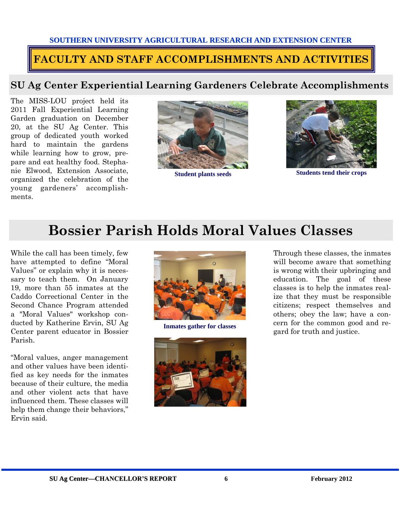## **FACULTY AND STAFF ACCOMPLISHMENTS AND ACTIVITIES**

### **SU Ag Center Experiential Learning Gardeners Celebrate Accomplishments**

The MISS-LOU project held its 2011 Fall Experiential Learning Garden graduation on December 20, at the SU Ag Center. This group of dedicated youth worked hard to maintain the gardens while learning how to grow, prepare and eat healthy food. Stephanie Elwood, Extension Associate, organized the celebration of the young gardeners' accomplishments.





**Student plants seeds** Students tend their crops

## **Bossier Parish Holds Moral Values Classes**

While the call has been timely, few have attempted to define "Moral Values" or explain why it is necessary to teach them. On January 19, more than 55 inmates at the Caddo Correctional Center in the Second Chance Program attended a "Moral Values" workshop conducted by Katherine Ervin, SU Ag Center parent educator in Bossier Parish.

"Moral values, anger management and other values have been identified as key needs for the inmates because of their culture, the media and other violent acts that have influenced them. These classes will help them change their behaviors." Ervin said.





Through these classes, the inmates will become aware that something is wrong with their upbringing and education. The goal of these classes is to help the inmates realize that they must be responsible citizens; respect themselves and others; obey the law; have a concern for the common good and re-Inmates gather for classes **Interpretent in the common good**<br>gard for truth and justice.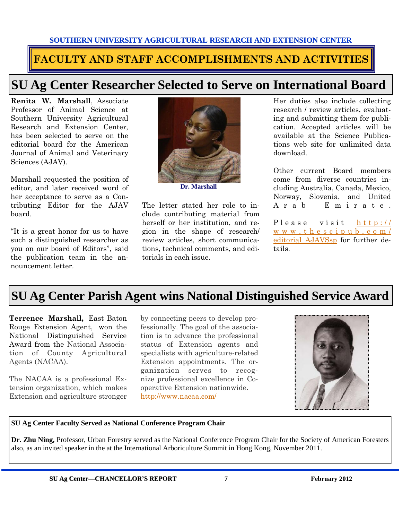## **FACULTY AND STAFF ACCOMPLISHMENTS AND ACTIVITIES**

## **SU Ag Center Researcher Selected to Serve on International Board**

**Renita W. Marshall**, Associate Professor of Animal Science at Southern University Agricultural Research and Extension Center, has been selected to serve on the editorial board for the American Journal of Animal and Veterinary Sciences (AJAV).

Marshall requested the position of editor, and later received word of her acceptance to serve as a Contributing Editor for the AJAV board.

"It is a great honor for us to have such a distinguished researcher as you on our board of Editors", said the publication team in the announcement letter.



**Dr. Marshall** 

The letter stated her role to include contributing material from herself or her institution, and region in the shape of research/ review articles, short communications, technical comments, and editorials in each issue.

Her duties also include collecting research / review articles, evaluating and submitting them for publication. Accepted articles will be available at the Science Publications web site for unlimited data download.

Other current Board members come from diverse countries including Australia, Canada, Mexico, Norway, Slovenia, and United A r a b E m i r a t e .

P l e a s e v i s i t h t t p : // [w w w . t h e s c i p u b . c o m /](http://www.thescipub.com/editorial_AJAVSsp) [editorial\\_AJAVSsp f](http://www.thescipub.com/editorial_AJAVSsp)or further details.

## **SU Ag Center Parish Agent wins National Distinguished Service Award**

**Terrence Marshall,** East Baton Rouge Extension Agent, won the National Distinguished Service Award from the National Association of County Agricultural Agents (NACAA).

The NACAA is a professional Extension organization, which makes Extension and agriculture stronger by connecting peers to develop professionally. The goal of the association is to advance the professional status of Extension agents and specialists with agriculture-related Extension appointments. The organization serves to recognize professional excellence in Cooperative Extension nationwide. <http://www.nacaa.com/>



#### **SU Ag Center Faculty Served as National Conference Program Chair**

**Dr. Zhu Ning,** Professor, Urban Forestry served as the National Conference Program Chair for the Society of American Foresters also, as an invited speaker in the at the International Arboriculture Summit in Hong Kong, November 2011.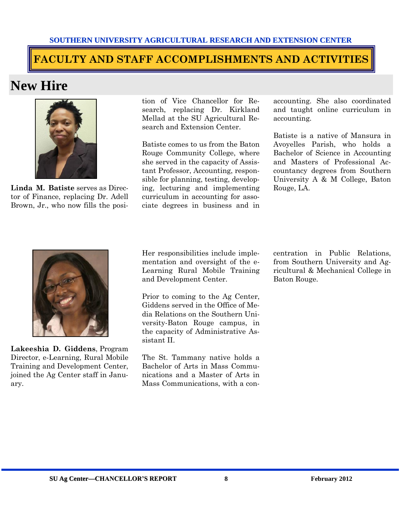## **FACULTY AND STAFF ACCOMPLISHMENTS AND ACTIVITIES**

## **New Hire**



**Linda M. Batiste** serves as Director of Finance, replacing Dr. Adell Brown, Jr., who now fills the posi-

tion of Vice Chancellor for Research, replacing Dr. Kirkland Mellad at the SU Agricultural Research and Extension Center.

Batiste comes to us from the Baton Rouge Community College, where she served in the capacity of Assistant Professor, Accounting, responsible for planning, testing, developing, lecturing and implementing curriculum in accounting for associate degrees in business and in accounting. She also coordinated and taught online curriculum in accounting.

Batiste is a native of Mansura in Avoyelles Parish, who holds a Bachelor of Science in Accounting and Masters of Professional Accountancy degrees from Southern University A & M College, Baton Rouge, LA.



**Lakeeshia D. Giddens**, Program Director, e-Learning, Rural Mobile Training and Development Center, joined the Ag Center staff in January.

Her responsibilities include implementation and oversight of the e-Learning Rural Mobile Training and Development Center.

Prior to coming to the Ag Center, Giddens served in the Office of Media Relations on the Southern University-Baton Rouge campus, in the capacity of Administrative Assistant II.

The St. Tammany native holds a Bachelor of Arts in Mass Communications and a Master of Arts in Mass Communications, with a concentration in Public Relations, from Southern University and Agricultural & Mechanical College in Baton Rouge.